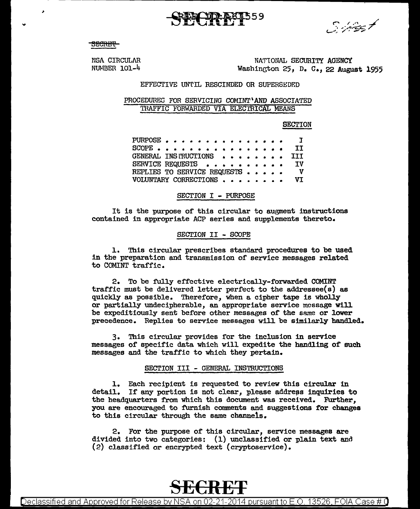محسب تينين سيستن

<del>SECRET</del>

×

NATIONAL, SECURITY AGENCY Washington  $25$ , D. C., 22 August 1955

NSA CIRCULAR  $NUMBER$  101-4

### EFFECTIVE uwrIL RESCINDED OR SUPERSEDED

#### PROCEDURES FOR SERVICING COMINT'AND ASSOCIATED 'l'HAFFIC FORWARDED VIA ELECTRICAL MEANS

**SECTION** 

PURPOSE . . SCOPE • • • • • • • • • • • • • • • • GENERAL INSI'RUCTIONS • ••••••• SERVICE REQUESTS . . REPLIES TO SERVICE REQUESTS . . VOLUNTARY CORRECTIONS • • • • • • • • I **TT** III IV v VI

#### SECTION I - PURPOSE

It is the purpose of this circular to augment instructions contained in appropriate ACP series and supplements thereto.

#### SECTION II - SCOPE

1. This circular prescribes standard procedures to be used in the preparation and transmission of service messages related to COMINT traffic.

2. To be fully effective electrically-forwarded COMINT traffic must be delivered letter perfect to the addressee(s) as quickly as possible. Therefore, when a cipher tape is wholly or partially undecipherable, an appropriate service message will be expeditiously sent before other messages of the same or 1ower precedence. Replies to service messages will be similarly handled.

3. This circular provides for the inclusion in service messages of specific data which will expedite the handling of such messages and the traffic to which they pertain.

#### SECTION III - GENERAL INSTRUCTIONS

1. Each recipient is requested to review this circular in detail. If any portion is not clear, please address inquiries to the headquarters from which this document was received. Further, you are encouraged to furnish comments and suggestions for changes to this circular through the same channels.

2. For the purpose of this circular, service messages are divided into two categories: (1) unclassified or plain text and (2) classified or encrypted text (cryptoservice).

## **SECRE'f**

Declassified and Approved for Release by NSA on 02-21-2014 pursuant to E.O. 13526, FOIA Case# 0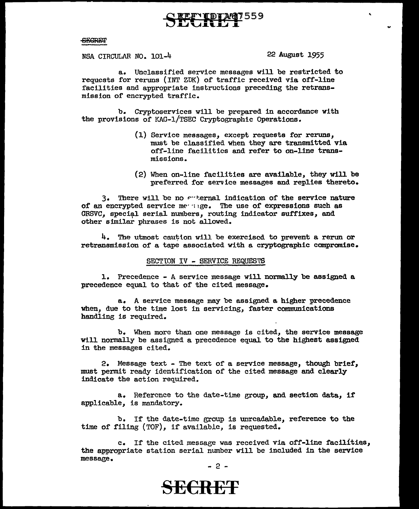#### $-$ GEGRET

NSA CIRCULAR NO. 101-4 22 August 1955

a. Unclassified service messages will be restricted to requests for reruns {INT ZDK) of traffic received via off-line facilities and appropriate instructions preceding the retransmission of encrypted traffic.

b. Cryptoservices will be prepared in accordance with the provisions of KAG-1/TSEC Cryptographic Operations.

- (1) Service messages, except requests for reruns, must be classified when they are transmitted via off-line facilities and refer to on-line transmissions.
- (2) When on-line facilities are available, they wil1 be preferred for service messages and replies thereto.

 $3.$  There will be no  $\epsilon$ -ternal indication of the service nature of an encrypted service meaninge. The use of expressions such as GRSVC. special serial numbers, routing indicator suffixes, and other similar phrases is not allowed.

 $4.$  The utmost caution will be exercised to prevent a rerun or retransmission of a tape associated with a cryptographic compromise.

#### SECTION IV - SERVICE REQUESTS

1. Precedence - A service message wil1 normally be assigned a precedence equal to that of the cited message.

a. A service message may be assigned a higher precedence when, due to the time lost in servicing, faster communications handling is required.

b. When more than one message is cited, the service message Will normally be assigned a precedence equal to the highest assigned in the messages cited.

2. Message text - The text of a service message, though brief, must permit ready identification of the cited message and clearly indicate the action required.

a. Reference to the date-time group, and section data, if applicable, is mandatory.

b. If the date-time group is unreadable, reference to the time of filing (TOF), if available, is requested.

c. If the cited message was received via off-line facilities, the appropriate station serial number will be included in the service message.

- 2 -

### **SE€RET**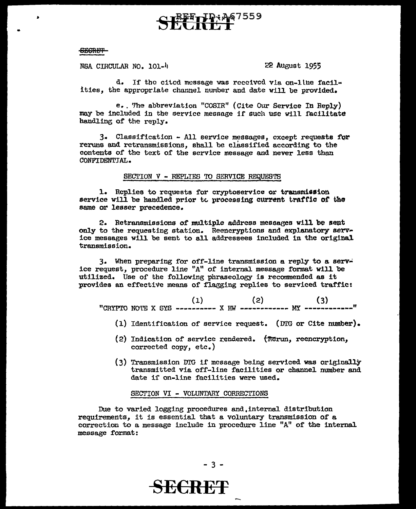# <u>ႃၯ</u>ႜ<sub>႞</sub>႓ႄၟ</sup>ၜ႗559

#### **SECRET**

NSA CIRCULAR NO. 101-4

22 August 1955

d. If the cited message was received via on-line facilities, the appropriate channel number and date will be provided.

e. The abbreviation "COSIR" (Cite Our Service In Reply) may be included in the service message if such use will facilitate handling of the reply.

3. Classification - All service messages, except requests for reruns and retransmissions, shall be classified according to the contents of the text of the service message and never less than CONFIDENTIAL.

#### SECTION V - REPLIES TO SERVICE REQUESTS

1. Replies to requests for cryptoservice or transmission service will be handled prior to processing current traffic of the same or lesser precedence.

2. Retransmissions of multiple address messages will be sent only to the requesting station. Reencryptions and explanatory serv-<br>ice messages will be sent to all addressees included in the original transmission.

3. When preparing for off-line transmission a reply to a service request, procedure line "A" of internal message format will be utilized. Use of the following phraseology is recommended as it provides an effective means of flanging replies to serviced traffic:

(2)  $(3)$ <br>"CRYPTO NOTE X SYS ---------- X HW ------------ MY ----------

- (1) Identification of service request. (DTG or Cite number).
- (2) Indication of service rendered.  $($ Rerun, reencryption, corrected copy, etc.)
- (3) Transmission DTG if message being serviced was originally transmitted via off-line facilities or channel number and date if on-line facilities were used.

#### SECTION VI - VOLUNTARY CORRECTIONS

Due to varied logging procedures and internal distribution requirements, it is essential that a voluntary transmission of a correction to a message include in procedure line "A" of the internal message format:

 $-3-$ 

**HRFF**